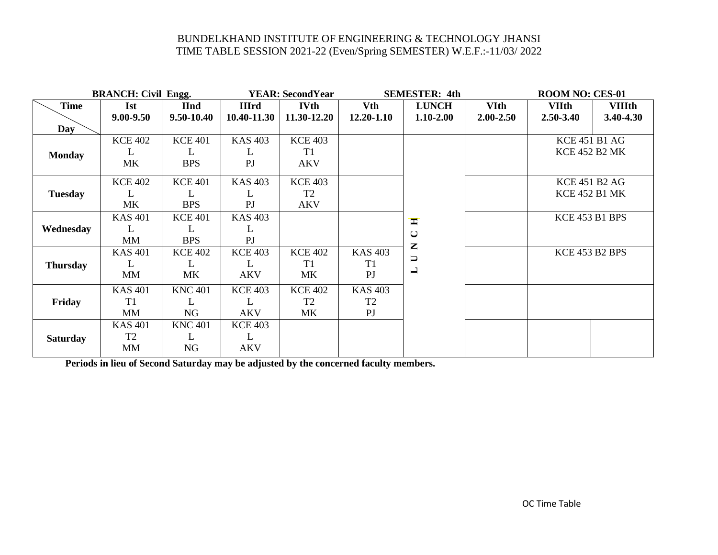| <b>BRANCH: Civil Engg.</b> |                | <b>YEAR: Second Year</b> |                | <b>SEMESTER: 4th</b> |                | <b>ROOM NO: CES-01</b>   |               |                       |               |
|----------------------------|----------------|--------------------------|----------------|----------------------|----------------|--------------------------|---------------|-----------------------|---------------|
| Time                       | <b>Ist</b>     | <b>IInd</b>              | <b>IIIrd</b>   | <b>IVth</b>          | Vth            | <b>LUNCH</b>             | <b>VIth</b>   | <b>VIIth</b>          | <b>VIIIth</b> |
|                            | $9.00 - 9.50$  | 9.50-10.40               | 10.40-11.30    | 11.30-12.20          | $12.20 - 1.10$ | $1.10 - 2.00$            | $2.00 - 2.50$ | 2.50-3.40             | 3.40-4.30     |
| Day                        |                |                          |                |                      |                |                          |               |                       |               |
|                            | <b>KCE 402</b> | <b>KCE 401</b>           | <b>KAS 403</b> | <b>KCE 403</b>       |                |                          |               | <b>KCE 451 B1 AG</b>  |               |
| <b>Monday</b>              | L              | L                        | L              | T <sub>1</sub>       |                |                          |               | <b>KCE 452 B2 MK</b>  |               |
|                            | <b>MK</b>      | <b>BPS</b>               | P <sub>J</sub> | <b>AKV</b>           |                |                          |               |                       |               |
|                            | <b>KCE 402</b> | <b>KCE 401</b>           | <b>KAS 403</b> | <b>KCE 403</b>       |                |                          |               | <b>KCE 451 B2 AG</b>  |               |
| <b>Tuesday</b>             | L              | L                        | L              | T <sub>2</sub>       |                |                          |               | <b>KCE 452 B1 MK</b>  |               |
|                            | MK             | <b>BPS</b>               | P <sub>J</sub> | <b>AKV</b>           |                |                          |               |                       |               |
|                            | <b>KAS 401</b> | <b>KCE 401</b>           | <b>KAS 403</b> |                      |                | $\blacksquare$           |               | KCE 453 B1 BPS        |               |
| Wednesday                  | L              | Ι.                       | L              |                      |                | $\mathbf{\mathsf{C}}$    |               |                       |               |
|                            | MM             | <b>BPS</b>               | P <sub>J</sub> |                      |                | $\mathbf{Z}$             |               |                       |               |
|                            | <b>KAS 401</b> | <b>KCE 402</b>           | <b>KCE 403</b> | <b>KCE 402</b>       | <b>KAS 403</b> | $\Box$                   |               | <b>KCE 453 B2 BPS</b> |               |
| <b>Thursday</b>            | L              | L                        | L              | T <sub>1</sub>       | T1             |                          |               |                       |               |
|                            | MM             | MK                       | <b>AKV</b>     | <b>MK</b>            | P <sub>J</sub> | $\overline{\phantom{0}}$ |               |                       |               |
|                            | <b>KAS 401</b> | <b>KNC 401</b>           | <b>KCE 403</b> | <b>KCE 402</b>       | <b>KAS 403</b> |                          |               |                       |               |
| Friday                     | T1             | L                        | L              | T <sub>2</sub>       | T <sub>2</sub> |                          |               |                       |               |
|                            | MM             | NG                       | <b>AKV</b>     | <b>MK</b>            | P <sub>J</sub> |                          |               |                       |               |
|                            | <b>KAS 401</b> | <b>KNC 401</b>           | <b>KCE 403</b> |                      |                |                          |               |                       |               |
| <b>Saturday</b>            | T <sub>2</sub> | L                        | L              |                      |                |                          |               |                       |               |
|                            | MM             | NG                       | <b>AKV</b>     |                      |                |                          |               |                       |               |
|                            |                |                          |                |                      |                |                          |               |                       |               |

**Periods in lieu of Second Saturday may be adjusted by the concerned faculty members.**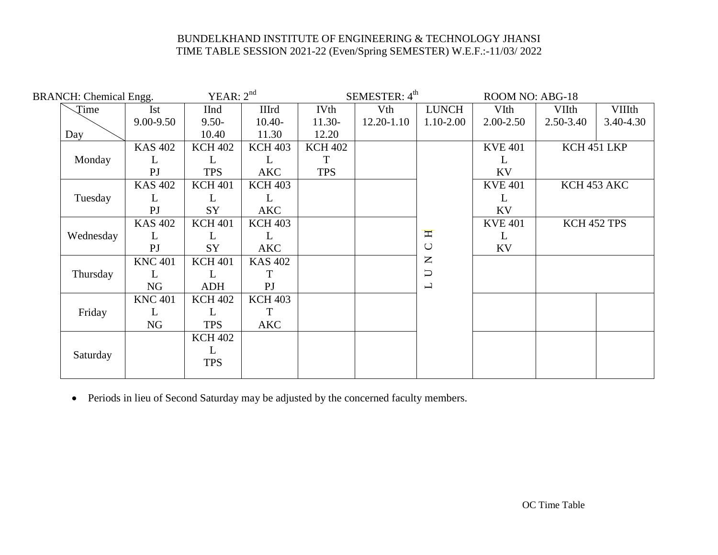| <b>BRANCH:</b> Chemical Engg. |                | YEAR: $2nd$    |                | SEMESTER: 4 <sup>th</sup> |            |                          | ROOM NO: ABG-18 |              |               |  |
|-------------------------------|----------------|----------------|----------------|---------------------------|------------|--------------------------|-----------------|--------------|---------------|--|
| Time                          | Ist            | IInd           | IIIrd          | <b>IVth</b>               | Vth        | <b>LUNCH</b>             | VIth            | <b>VIIth</b> | <b>VIIIth</b> |  |
|                               | 9.00-9.50      | $9.50 -$       | $10.40-$       | $11.30-$                  | 12.20-1.10 | 1.10-2.00                | $2.00 - 2.50$   | 2.50-3.40    | 3.40-4.30     |  |
| Day                           |                | 10.40          | 11.30          | 12.20                     |            |                          |                 |              |               |  |
|                               | <b>KAS 402</b> | <b>KCH 402</b> | <b>KCH 403</b> | <b>KCH 402</b>            |            |                          | <b>KVE 401</b>  | KCH 451 LKP  |               |  |
| Monday                        | L              | L              | L              | T                         |            |                          | L               |              |               |  |
|                               | P <sub>J</sub> | <b>TPS</b>     | <b>AKC</b>     | <b>TPS</b>                |            |                          | KV              |              |               |  |
|                               | <b>KAS 402</b> | <b>KCH 401</b> | <b>KCH 403</b> |                           |            |                          | <b>KVE 401</b>  | KCH 453 AKC  |               |  |
| Tuesday                       | L              | L              | L              |                           |            |                          | $\mathbf{L}$    |              |               |  |
|                               | P <sub>J</sub> | SY             | <b>AKC</b>     |                           |            |                          | KV              |              |               |  |
|                               | <b>KAS 402</b> | <b>KCH 401</b> | <b>KCH 403</b> |                           |            |                          | <b>KVE 401</b>  | KCH 452 TPS  |               |  |
| Wednesday                     | L              | L              | L              |                           |            | Η                        | L               |              |               |  |
|                               | P <sub>J</sub> | SY             | <b>AKC</b>     |                           |            | $\cup$                   | KV              |              |               |  |
|                               | <b>KNC 401</b> | <b>KCH 401</b> | <b>KAS 402</b> |                           |            | $\mathsf{Z}$             |                 |              |               |  |
| Thursday                      | L              | L              | T              |                           |            | $\cup$                   |                 |              |               |  |
|                               | NG             | <b>ADH</b>     | P <sub>J</sub> |                           |            | $\overline{\phantom{0}}$ |                 |              |               |  |
|                               | <b>KNC 401</b> | <b>KCH 402</b> | <b>KCH 403</b> |                           |            |                          |                 |              |               |  |
| Friday                        | L              | L              | T              |                           |            |                          |                 |              |               |  |
|                               | NG             | <b>TPS</b>     | <b>AKC</b>     |                           |            |                          |                 |              |               |  |
|                               |                | <b>KCH 402</b> |                |                           |            |                          |                 |              |               |  |
| Saturday                      |                | L              |                |                           |            |                          |                 |              |               |  |
|                               |                | <b>TPS</b>     |                |                           |            |                          |                 |              |               |  |
|                               |                |                |                |                           |            |                          |                 |              |               |  |

Periods in lieu of Second Saturday may be adjusted by the concerned faculty members.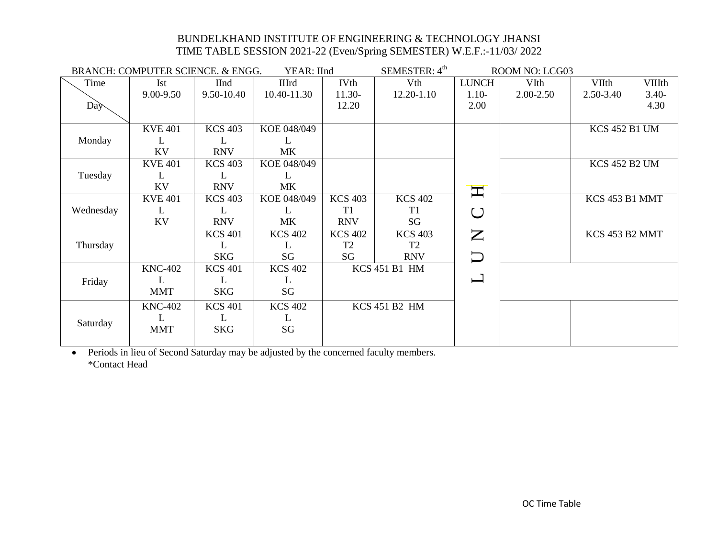| BRANCH: COMPUTER SCIENCE. & ENGG.<br>YEAR: IInd |                |                |                |                | SEMESTER: 4 <sup>th</sup> | ROOM NO: LCG03                                |           |                      |               |
|-------------------------------------------------|----------------|----------------|----------------|----------------|---------------------------|-----------------------------------------------|-----------|----------------------|---------------|
| Time                                            | Ist            | <b>IInd</b>    | <b>IIIrd</b>   | <b>IVth</b>    | Vth                       | <b>LUNCH</b>                                  | VIth      | <b>VIIth</b>         | <b>VIIIth</b> |
|                                                 | 9.00-9.50      | 9.50-10.40     | 10.40-11.30    | $11.30-$       | 12.20-1.10                | $1.10-$                                       | 2.00-2.50 | 2.50-3.40            | $3.40-$       |
| Day                                             |                |                |                | 12.20          |                           | 2.00                                          |           |                      | 4.30          |
|                                                 |                |                |                |                |                           |                                               |           |                      |               |
|                                                 | <b>KVE 401</b> | <b>KCS 403</b> | KOE 048/049    |                |                           |                                               |           | <b>KCS 452 B1 UM</b> |               |
| Monday                                          |                |                |                |                |                           |                                               |           |                      |               |
|                                                 | KV             | <b>RNV</b>     | <b>MK</b>      |                |                           |                                               |           |                      |               |
|                                                 | <b>KVE 401</b> | <b>KCS 403</b> | KOE 048/049    |                |                           |                                               |           | <b>KCS 452 B2 UM</b> |               |
| Tuesday                                         | L              | L              | L              |                |                           |                                               |           |                      |               |
|                                                 | <b>KV</b>      | <b>RNV</b>     | <b>MK</b>      |                |                           | 工                                             |           |                      |               |
|                                                 | <b>KVE 401</b> | <b>KCS 403</b> | KOE 048/049    | <b>KCS 403</b> | <b>KCS 402</b>            |                                               |           | KCS 453 B1 MMT       |               |
| Wednesday                                       | L              |                | L              | T1             | T1                        | $\bigcup$                                     |           |                      |               |
|                                                 | <b>KV</b>      | <b>RNV</b>     | <b>MK</b>      | <b>RNV</b>     | SG                        |                                               |           |                      |               |
|                                                 |                | <b>KCS 401</b> | <b>KCS 402</b> | <b>KCS 402</b> | <b>KCS 403</b>            | $\mathsf{Z}$                                  |           | KCS 453 B2 MMT       |               |
| Thursday                                        |                |                |                | T <sub>2</sub> | T <sub>2</sub>            |                                               |           |                      |               |
|                                                 |                | <b>SKG</b>     | SG             | SG             | <b>RNV</b>                | $\Box$                                        |           |                      |               |
|                                                 | <b>KNC-402</b> | <b>KCS 401</b> | <b>KCS 402</b> |                | <b>KCS 451 B1 HM</b>      |                                               |           |                      |               |
| Friday                                          | L              | L              | L              |                |                           | $\mathord{\hspace{1pt}\text{--}\hspace{1pt}}$ |           |                      |               |
|                                                 | <b>MMT</b>     | <b>SKG</b>     | SG             |                |                           |                                               |           |                      |               |
|                                                 | <b>KNC-402</b> | <b>KCS 401</b> | <b>KCS 402</b> |                | <b>KCS 451 B2 HM</b>      |                                               |           |                      |               |
|                                                 | L              | L              | L              |                |                           |                                               |           |                      |               |
| Saturday                                        | <b>MMT</b>     | <b>SKG</b>     | SG             |                |                           |                                               |           |                      |               |
|                                                 |                |                |                |                |                           |                                               |           |                      |               |

 Periods in lieu of Second Saturday may be adjusted by the concerned faculty members. \*Contact Head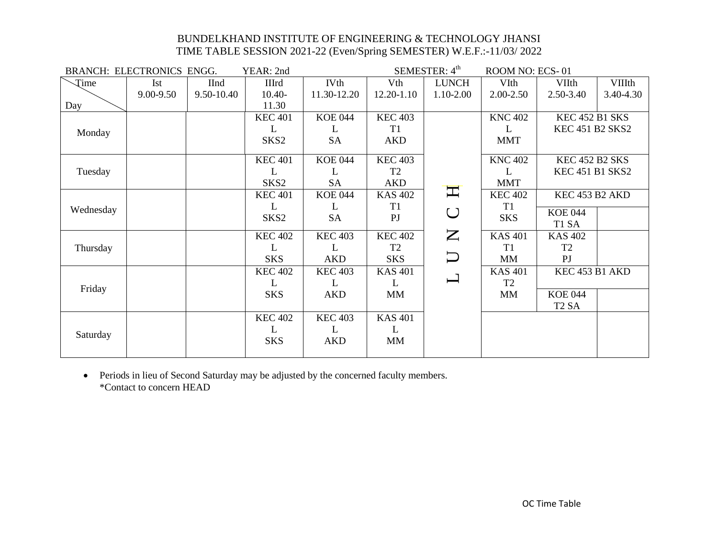| <b>BRANCH: ELECTRONICS ENGG.</b> |           |                | YEAR: 2nd        |                |                | SEMESTER: 4 <sup>th</sup> | ROOM NO: ECS-01 |                               |           |  |
|----------------------------------|-----------|----------------|------------------|----------------|----------------|---------------------------|-----------------|-------------------------------|-----------|--|
| Time                             | Ist       | <b>IInd</b>    | IIIrd            | <b>IVth</b>    | Vth            | <b>LUNCH</b>              | VIth            | VIIth                         | VIIIth    |  |
|                                  | 9.00-9.50 | 9.50-10.40     | $10.40-$         | 11.30-12.20    | 12.20-1.10     | 1.10-2.00                 | $2.00 - 2.50$   | 2.50-3.40                     | 3.40-4.30 |  |
| Day                              |           |                | 11.30            |                |                |                           |                 |                               |           |  |
|                                  |           |                | <b>KEC 401</b>   | <b>KOE 044</b> | <b>KEC 403</b> |                           | <b>KNC 402</b>  | <b>KEC 452 B1 SKS</b>         |           |  |
| Monday                           |           |                | L                | L              | T <sub>1</sub> |                           | L               | <b>KEC 451 B2 SKS2</b>        |           |  |
|                                  |           |                | SKS2             | SA             | <b>AKD</b>     |                           | <b>MMT</b>      |                               |           |  |
|                                  |           |                | <b>KEC 401</b>   | <b>KOE 044</b> | <b>KEC 403</b> |                           | <b>KNC 402</b>  | <b>KEC 452 B2 SKS</b>         |           |  |
|                                  |           |                |                  |                |                |                           |                 |                               |           |  |
| Tuesday                          |           |                | L                | L              | T <sub>2</sub> |                           | L               | <b>KEC 451 B1 SKS2</b>        |           |  |
|                                  |           |                | SKS <sub>2</sub> | SA             | <b>AKD</b>     |                           | <b>MMT</b>      |                               |           |  |
|                                  |           |                | <b>KEC 401</b>   | <b>KOE 044</b> | <b>KAS 402</b> | $\mathbf{\Xi}$            | <b>KEC 402</b>  | KEC 453 B2 AKD                |           |  |
| Wednesday                        |           |                | L                | L              | T <sub>1</sub> |                           | T1              | <b>KOE 044</b>                |           |  |
|                                  |           |                | SKS <sub>2</sub> | <b>SA</b>      | PJ             | $\bigcup$                 | <b>SKS</b>      | T1 SA                         |           |  |
|                                  |           | <b>KEC 402</b> | <b>KEC 403</b>   | <b>KEC 402</b> | $\mathsf{Z}$   | <b>KAS 401</b>            | <b>KAS 402</b>  |                               |           |  |
| Thursday                         |           |                | L                | L              | T <sub>2</sub> |                           | T1              | T <sub>2</sub>                |           |  |
|                                  |           |                | <b>SKS</b>       | <b>AKD</b>     | <b>SKS</b>     | $\bm{\Box}$               | MM              | $\mathbf{P}$                  |           |  |
|                                  |           |                | <b>KEC 402</b>   | <b>KEC 403</b> | <b>KAS 401</b> |                           | <b>KAS 401</b>  | KEC 453 B1 AKD                |           |  |
|                                  |           |                | L                | L              | L              | $\sqcup$                  | T <sub>2</sub>  |                               |           |  |
| Friday                           |           |                | <b>SKS</b>       | <b>AKD</b>     | MM             |                           | <b>MM</b>       | <b>KOE 044</b>                |           |  |
|                                  |           |                |                  |                |                |                           |                 | T <sub>2</sub> S <sub>A</sub> |           |  |
|                                  |           |                | <b>KEC 402</b>   | <b>KEC 403</b> | <b>KAS 401</b> |                           |                 |                               |           |  |
|                                  |           |                | L                | L              | L              |                           |                 |                               |           |  |
| Saturday                         |           |                | <b>SKS</b>       | <b>AKD</b>     | MM             |                           |                 |                               |           |  |
|                                  |           |                |                  |                |                |                           |                 |                               |           |  |

• Periods in lieu of Second Saturday may be adjusted by the concerned faculty members. \*Contact to concern HEAD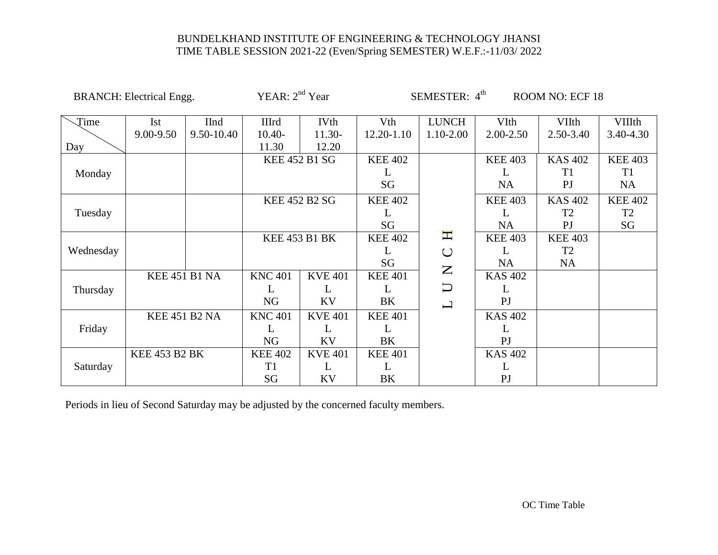| <b>BRANCH:</b> Electrical Engg. |                      | YEAR: $2nd$ Year          |                      | SEMESTER: 4 <sup>th</sup><br>ROOM NO: ECF 18 |                   |                                                                                                                                               |                       |                           |                            |
|---------------------------------|----------------------|---------------------------|----------------------|----------------------------------------------|-------------------|-----------------------------------------------------------------------------------------------------------------------------------------------|-----------------------|---------------------------|----------------------------|
| Time                            | Ist<br>9.00-9.50     | <b>IInd</b><br>9.50-10.40 | IIIrd<br>$10.40-$    | <b>IVth</b><br>$11.30-$                      | Vth<br>12.20-1.10 | <b>LUNCH</b><br>$1.10 - 2.00$                                                                                                                 | VIth<br>$2.00 - 2.50$ | <b>VIIth</b><br>2.50-3.40 | <b>VIIIth</b><br>3.40-4.30 |
| Day                             |                      |                           | 11.30                | 12.20                                        |                   |                                                                                                                                               |                       |                           |                            |
|                                 |                      |                           | <b>KEE 452 B1 SG</b> |                                              | <b>KEE 402</b>    |                                                                                                                                               | <b>KEE 403</b>        | <b>KAS 402</b>            | <b>KEE 403</b>             |
| Monday                          |                      |                           |                      |                                              | L                 |                                                                                                                                               | L                     | T <sub>1</sub>            | T1                         |
|                                 |                      |                           |                      |                                              |                   |                                                                                                                                               | NA                    | P <sub>J</sub>            | NA                         |
| Tuesday                         |                      |                           |                      | <b>KEE 452 B2 SG</b>                         |                   |                                                                                                                                               | <b>KEE 403</b>        | <b>KAS 402</b>            | <b>KEE 402</b>             |
|                                 |                      |                           |                      |                                              | L                 |                                                                                                                                               | L                     | T <sub>2</sub>            | T <sub>2</sub>             |
|                                 |                      |                           |                      |                                              | SG                |                                                                                                                                               | <b>NA</b>             | P <sub>J</sub>            | SG                         |
|                                 |                      |                           | <b>KEE 453 B1 BK</b> |                                              | <b>KEE 402</b>    | Ħ                                                                                                                                             | <b>KEE 403</b>        | <b>KEE 403</b>            |                            |
| Wednesday                       |                      |                           |                      |                                              | L                 | $\cup$                                                                                                                                        | L                     | T <sub>2</sub>            |                            |
|                                 |                      |                           |                      |                                              | SG                | $\mathsf{Z}% _{0}\!\left( \mathcal{M}_{0}\right) ^{T\!\left( 1\right) }=\mathsf{Z}_{0}\!\left( \mathcal{M}_{0}\right) ^{T\!\left( 1\right) }$ | <b>NA</b>             | <b>NA</b>                 |                            |
|                                 | <b>KEE 451 B1 NA</b> |                           | <b>KNC 401</b>       | <b>KVE 401</b>                               | <b>KEE 401</b>    |                                                                                                                                               | <b>KAS 402</b>        |                           |                            |
| Thursday                        |                      |                           | L                    | L                                            | L                 | $\cup$                                                                                                                                        | L                     |                           |                            |
|                                 |                      |                           | NG                   | KV                                           | BK                | $\overline{\phantom{0}}$                                                                                                                      | P <sub>J</sub>        |                           |                            |
|                                 | <b>KEE 451 B2 NA</b> |                           | <b>KNC 401</b>       | <b>KVE 401</b>                               | <b>KEE 401</b>    |                                                                                                                                               | <b>KAS 402</b>        |                           |                            |
| Friday                          |                      |                           | L                    | L                                            | L                 |                                                                                                                                               | L                     |                           |                            |
|                                 |                      |                           | NG                   | <b>KV</b>                                    | BK                |                                                                                                                                               | PJ                    |                           |                            |
|                                 | <b>KEE 453 B2 BK</b> |                           | <b>KEE 402</b>       | <b>KVE 401</b>                               | <b>KEE 401</b>    |                                                                                                                                               | <b>KAS 402</b>        |                           |                            |
| Saturday                        |                      |                           | T <sub>1</sub>       | L                                            | L                 |                                                                                                                                               | L                     |                           |                            |
|                                 |                      |                           | SG                   | KV                                           | BK                |                                                                                                                                               | P <sub>J</sub>        |                           |                            |

Periods in lieu of Second Saturday may be adjusted by the concerned faculty members.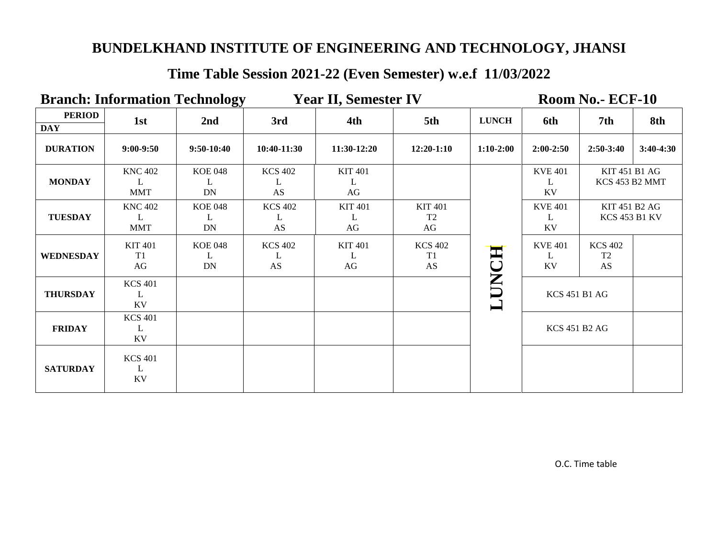# **BUNDELKHAND INSTITUTE OF ENGINEERING AND TECHNOLOGY, JHANSI**

# **Time Table Session 2021-22 (Even Semester) w.e.f 11/03/2022**

**Branch: Information Technology Year II, Semester IV Room No.- ECF-10** 

| <b>PERIOD</b><br><b>DAY</b> | 1st                                          | 2nd                       | 3rd                       | 4th                       | 5th                                    | <b>LUNCH</b>                  | 6th                       | 7th                                    | 8th         |
|-----------------------------|----------------------------------------------|---------------------------|---------------------------|---------------------------|----------------------------------------|-------------------------------|---------------------------|----------------------------------------|-------------|
| <b>DURATION</b>             | $9:00-9:50$                                  | $9:50-10:40$              | 10:40-11:30               | 11:30-12:20               | $12:20-1:10$                           | $1:10-2:00$                   | $2:00-2:50$               | $2:50-3:40$                            | $3:40-4:30$ |
| <b>MONDAY</b>               | <b>KNC 402</b><br>$\mathbf{L}$<br><b>MMT</b> | <b>KOE 048</b><br>L<br>DN | <b>KCS 402</b><br>L<br>AS | <b>KIT 401</b><br>L<br>AG |                                        |                               | <b>KVE 401</b><br>L<br>KV | <b>KIT 451 B1 AG</b><br>KCS 453 B2 MMT |             |
| <b>TUESDAY</b>              | <b>KNC 402</b><br>$\mathbf{L}$<br><b>MMT</b> | <b>KOE 048</b><br>L<br>DN | <b>KCS 402</b><br>L<br>AS | <b>KIT 401</b><br>L<br>AG | <b>KIT 401</b><br>T <sub>2</sub><br>AG |                               | <b>KVE 401</b><br>L<br>KV | KIT 451 B2 AG<br><b>KCS 453 B1 KV</b>  |             |
| <b>WEDNESDAY</b>            | <b>KIT 401</b><br>T1<br>AG                   | <b>KOE 048</b><br>L<br>DN | <b>KCS 402</b><br>L<br>AS | <b>KIT 401</b><br>L<br>AG | <b>KCS 402</b><br>T1<br>AS             | H<br>گ                        | <b>KVE 401</b><br>L<br>KV | <b>KCS 402</b><br>T <sub>2</sub><br>AS |             |
| <b>THURSDAY</b>             | <b>KCS 401</b><br>L<br>KV                    |                           |                           |                           |                                        | Š<br>$\overline{\phantom{0}}$ | <b>KCS 451 B1 AG</b>      |                                        |             |
| <b>FRIDAY</b>               | <b>KCS 401</b><br>L<br>KV                    |                           |                           |                           |                                        | <b>KCS 451 B2 AG</b>          |                           |                                        |             |
| <b>SATURDAY</b>             | <b>KCS 401</b><br>L<br>KV                    |                           |                           |                           |                                        |                               |                           |                                        |             |

O.C. Time table